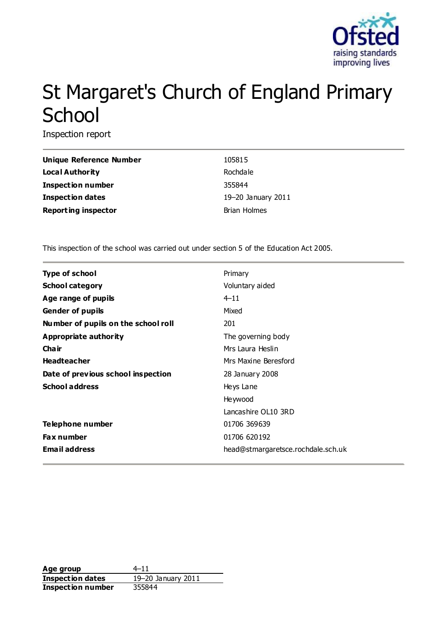

# St Margaret's Church of England Primary **School**

Inspection report

| Unique Reference Number    | 105815              |
|----------------------------|---------------------|
| Local Authority            | Rochdale            |
| <b>Inspection number</b>   | 355844              |
| <b>Inspection dates</b>    | 19-20 January 2011  |
| <b>Reporting inspector</b> | <b>Brian Holmes</b> |

This inspection of the school was carried out under section 5 of the Education Act 2005.

| Type of school                      | Primary                            |
|-------------------------------------|------------------------------------|
| <b>School category</b>              | Voluntary aided                    |
| Age range of pupils                 | $4 - 11$                           |
| <b>Gender of pupils</b>             | Mixed                              |
| Number of pupils on the school roll | 201                                |
| Appropriate authority               | The governing body                 |
| Cha ir                              | Mrs Laura Heslin                   |
| <b>Headteacher</b>                  | Mrs Maxine Beresford               |
| Date of previous school inspection  | 28 January 2008                    |
| <b>School address</b>               | Heys Lane                          |
|                                     | Heywood                            |
|                                     | Lancashire OL10 3RD                |
| Telephone number                    | 01706 369639                       |
| <b>Fax number</b>                   | 01706 620192                       |
| <b>Email address</b>                | head@stmargaretsce.rochdale.sch.uk |

Age group  $4-11$ **Inspection dates** 19–20 January 2011 **Inspection number** 355844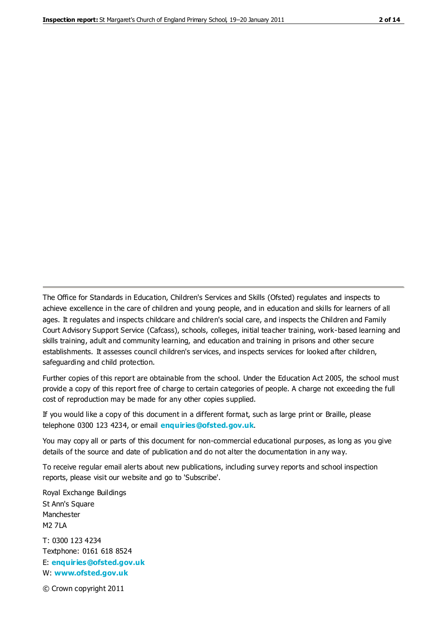The Office for Standards in Education, Children's Services and Skills (Ofsted) regulates and inspects to achieve excellence in the care of children and young people, and in education and skills for learners of all ages. It regulates and inspects childcare and children's social care, and inspects the Children and Family Court Advisory Support Service (Cafcass), schools, colleges, initial teacher training, work-based learning and skills training, adult and community learning, and education and training in prisons and other secure establishments. It assesses council children's services, and inspects services for looked after children, safeguarding and child protection.

Further copies of this report are obtainable from the school. Under the Education Act 2005, the school must provide a copy of this report free of charge to certain categories of people. A charge not exceeding the full cost of reproduction may be made for any other copies supplied.

If you would like a copy of this document in a different format, such as large print or Braille, please telephone 0300 123 4234, or email **[enquiries@ofsted.gov.uk](mailto:enquiries@ofsted.gov.uk)**.

You may copy all or parts of this document for non-commercial educational purposes, as long as you give details of the source and date of publication and do not alter the documentation in any way.

To receive regular email alerts about new publications, including survey reports and school inspection reports, please visit our website and go to 'Subscribe'.

Royal Exchange Buildings St Ann's Square Manchester M2 7LA T: 0300 123 4234 Textphone: 0161 618 8524 E: **[enquiries@ofsted.gov.uk](mailto:enquiries@ofsted.gov.uk)**

W: **[www.ofsted.gov.uk](http://www.ofsted.gov.uk/)**

© Crown copyright 2011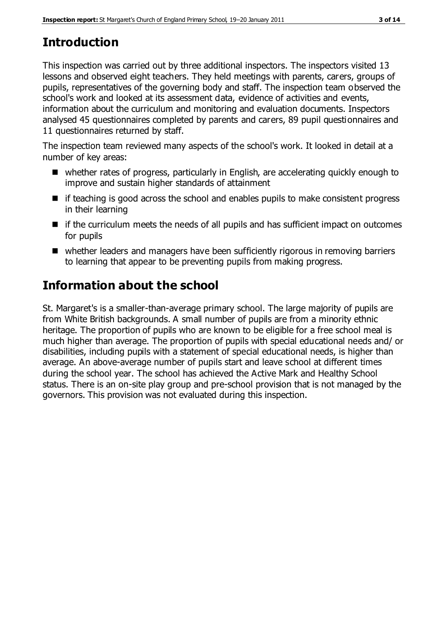# **Introduction**

This inspection was carried out by three additional inspectors. The inspectors visited 13 lessons and observed eight teachers. They held meetings with parents, carers, groups of pupils, representatives of the governing body and staff. The inspection team observed the school's work and looked at its assessment data, evidence of activities and events, information about the curriculum and monitoring and evaluation documents. Inspectors analysed 45 questionnaires completed by parents and carers, 89 pupil questionnaires and 11 questionnaires returned by staff.

The inspection team reviewed many aspects of the school's work. It looked in detail at a number of key areas:

- whether rates of progress, particularly in English, are accelerating quickly enough to improve and sustain higher standards of attainment
- $\blacksquare$  if teaching is good across the school and enables pupils to make consistent progress in their learning
- $\blacksquare$  if the curriculum meets the needs of all pupils and has sufficient impact on outcomes for pupils
- whether leaders and managers have been sufficiently rigorous in removing barriers to learning that appear to be preventing pupils from making progress.

# **Information about the school**

St. Margaret's is a smaller-than-average primary school. The large majority of pupils are from White British backgrounds. A small number of pupils are from a minority ethnic heritage. The proportion of pupils who are known to be eligible for a free school meal is much higher than average. The proportion of pupils with special educational needs and/ or disabilities, including pupils with a statement of special educational needs, is higher than average. An above-average number of pupils start and leave school at different times during the school year. The school has achieved the Active Mark and Healthy School status. There is an on-site play group and pre-school provision that is not managed by the governors. This provision was not evaluated during this inspection.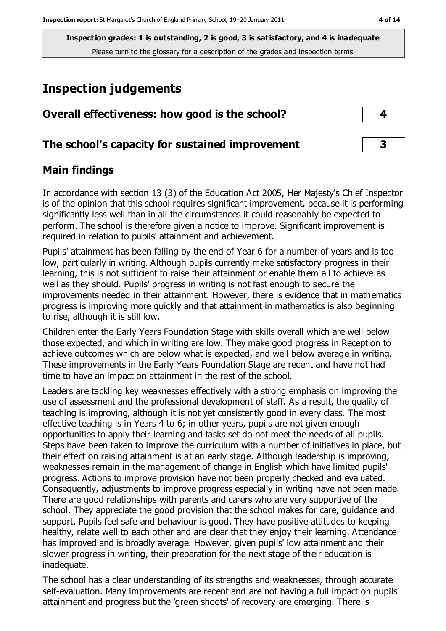# **Inspection judgements**

| Overall effectiveness: how good is the school?  |                         |
|-------------------------------------------------|-------------------------|
| The school's capacity for sustained improvement | $\overline{\mathbf{3}}$ |

#### **Main findings**

In accordance with section 13 (3) of the Education Act 2005, Her Majesty's Chief Inspector is of the opinion that this school requires significant improvement, because it is performing significantly less well than in all the circumstances it could reasonably be expected to perform. The school is therefore given a notice to improve. Significant improvement is required in relation to pupils' attainment and achievement.

Pupils' attainment has been falling by the end of Year 6 for a number of years and is too low, particularly in writing. Although pupils currently make satisfactory progress in their learning, this is not sufficient to raise their attainment or enable them all to achieve as well as they should. Pupils' progress in writing is not fast enough to secure the improvements needed in their attainment. However, there is evidence that in mathematics progress is improving more quickly and that attainment in mathematics is also beginning to rise, although it is still low.

Children enter the Early Years Foundation Stage with skills overall which are well below those expected, and which in writing are low. They make good progress in Reception to achieve outcomes which are below what is expected, and well below average in writing. These improvements in the Early Years Foundation Stage are recent and have not had time to have an impact on attainment in the rest of the school.

Leaders are tackling key weaknesses effectively with a strong emphasis on improving the use of assessment and the professional development of staff. As a result, the quality of teaching is improving, although it is not yet consistently good in every class. The most effective teaching is in Years 4 to 6; in other years, pupils are not given enough opportunities to apply their learning and tasks set do not meet the needs of all pupils. Steps have been taken to improve the curriculum with a number of initiatives in place, but their effect on raising attainment is at an early stage. Although leadership is improving, weaknesses remain in the management of change in English which have limited pupils' progress. Actions to improve provision have not been properly checked and evaluated. Consequently, adjustments to improve progress especially in writing have not been made. There are good relationships with parents and carers who are very supportive of the school. They appreciate the good provision that the school makes for care, guidance and support. Pupils feel safe and behaviour is good. They have positive attitudes to keeping healthy, relate well to each other and are clear that they enjoy their learning. Attendance has improved and is broadly average. However, given pupils' low attainment and their slower progress in writing, their preparation for the next stage of their education is inadequate.

The school has a clear understanding of its strengths and weaknesses, through accurate self-evaluation. Many improvements are recent and are not having a full impact on pupils' attainment and progress but the 'green shoots' of recovery are emerging. There is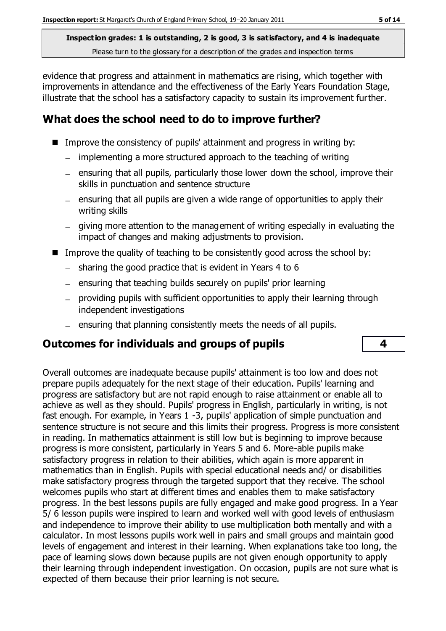evidence that progress and attainment in mathematics are rising, which together with improvements in attendance and the effectiveness of the Early Years Foundation Stage, illustrate that the school has a satisfactory capacity to sustain its improvement further.

### **What does the school need to do to improve further?**

- Improve the consistency of pupils' attainment and progress in writing by:
	- implementing a more structured approach to the teaching of writing
	- $-$  ensuring that all pupils, particularly those lower down the school, improve their skills in punctuation and sentence structure
	- $-$  ensuring that all pupils are given a wide range of opportunities to apply their writing skills
	- $-$  giving more attention to the management of writing especially in evaluating the impact of changes and making adjustments to provision.
- Improve the quality of teaching to be consistently good across the school by:
	- $-$  sharing the good practice that is evident in Years 4 to 6
	- ensuring that teaching builds securely on pupils' prior learning
	- providing pupils with sufficient opportunities to apply their learning through independent investigations
	- $=$  ensuring that planning consistently meets the needs of all pupils.

#### **Outcomes for individuals and groups of pupils 4**

Overall outcomes are inadequate because pupils' attainment is too low and does not prepare pupils adequately for the next stage of their education. Pupils' learning and progress are satisfactory but are not rapid enough to raise attainment or enable all to achieve as well as they should. Pupils' progress in English, particularly in writing, is not fast enough. For example, in Years 1 -3, pupils' application of simple punctuation and sentence structure is not secure and this limits their progress. Progress is more consistent in reading. In mathematics attainment is still low but is beginning to improve because progress is more consistent, particularly in Years 5 and 6. More-able pupils make satisfactory progress in relation to their abilities, which again is more apparent in mathematics than in English. Pupils with special educational needs and/ or disabilities make satisfactory progress through the targeted support that they receive. The school welcomes pupils who start at different times and enables them to make satisfactory progress. In the best lessons pupils are fully engaged and make good progress. In a Year 5/ 6 lesson pupils were inspired to learn and worked well with good levels of enthusiasm and independence to improve their ability to use multiplication both mentally and with a calculator. In most lessons pupils work well in pairs and small groups and maintain good levels of engagement and interest in their learning. When explanations take too long, the pace of learning slows down because pupils are not given enough opportunity to apply their learning through independent investigation. On occasion, pupils are not sure what is expected of them because their prior learning is not secure.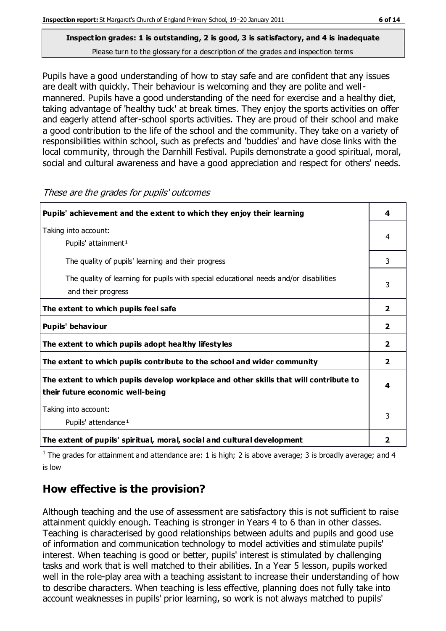Pupils have a good understanding of how to stay safe and are confident that any issues are dealt with quickly. Their behaviour is welcoming and they are polite and wellmannered. Pupils have a good understanding of the need for exercise and a healthy diet, taking advantage of 'healthy tuck' at break times. They enjoy the sports activities on offer and eagerly attend after-school sports activities. They are proud of their school and make a good contribution to the life of the school and the community. They take on a variety of responsibilities within school, such as prefects and 'buddies' and have close links with the local community, through the Darnhill Festival. Pupils demonstrate a good spiritual, moral, social and cultural awareness and have a good appreciation and respect for others' needs.

| Pupils' achievement and the extent to which they enjoy their learning                                                     |                |
|---------------------------------------------------------------------------------------------------------------------------|----------------|
| Taking into account:<br>Pupils' attainment <sup>1</sup>                                                                   |                |
| The quality of pupils' learning and their progress                                                                        | 3              |
| The quality of learning for pupils with special educational needs and/or disabilities<br>and their progress               |                |
| The extent to which pupils feel safe                                                                                      | $\overline{2}$ |
| Pupils' behaviour                                                                                                         | $\overline{2}$ |
| The extent to which pupils adopt healthy lifestyles                                                                       | $\overline{2}$ |
| The extent to which pupils contribute to the school and wider community                                                   |                |
| The extent to which pupils develop workplace and other skills that will contribute to<br>their future economic well-being |                |
| Taking into account:<br>Pupils' attendance <sup>1</sup>                                                                   |                |
| The extent of pupils' spiritual, moral, social and cultural development                                                   | 2              |

These are the grades for pupils' outcomes

<sup>1</sup> The grades for attainment and attendance are: 1 is high; 2 is above average; 3 is broadly average; and 4 is low

# **How effective is the provision?**

Although teaching and the use of assessment are satisfactory this is not sufficient to raise attainment quickly enough. Teaching is stronger in Years 4 to 6 than in other classes. Teaching is characterised by good relationships between adults and pupils and good use of information and communication technology to model activities and stimulate pupils' interest. When teaching is good or better, pupils' interest is stimulated by challenging tasks and work that is well matched to their abilities. In a Year 5 lesson, pupils worked well in the role-play area with a teaching assistant to increase their understanding of how to describe characters. When teaching is less effective, planning does not fully take into account weaknesses in pupils' prior learning, so work is not always matched to pupils'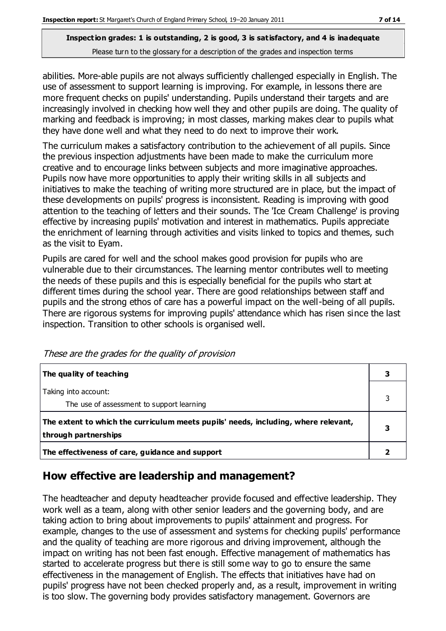abilities. More-able pupils are not always sufficiently challenged especially in English. The use of assessment to support learning is improving. For example, in lessons there are more frequent checks on pupils' understanding. Pupils understand their targets and are increasingly involved in checking how well they and other pupils are doing. The quality of marking and feedback is improving; in most classes, marking makes clear to pupils what they have done well and what they need to do next to improve their work.

The curriculum makes a satisfactory contribution to the achievement of all pupils. Since the previous inspection adjustments have been made to make the curriculum more creative and to encourage links between subjects and more imaginative approaches. Pupils now have more opportunities to apply their writing skills in all subjects and initiatives to make the teaching of writing more structured are in place, but the impact of these developments on pupils' progress is inconsistent. Reading is improving with good attention to the teaching of letters and their sounds. The 'Ice Cream Challenge' is proving effective by increasing pupils' motivation and interest in mathematics. Pupils appreciate the enrichment of learning through activities and visits linked to topics and themes, such as the visit to Eyam.

Pupils are cared for well and the school makes good provision for pupils who are vulnerable due to their circumstances. The learning mentor contributes well to meeting the needs of these pupils and this is especially beneficial for the pupils who start at different times during the school year. There are good relationships between staff and pupils and the strong ethos of care has a powerful impact on the well-being of all pupils. There are rigorous systems for improving pupils' attendance which has risen since the last inspection. Transition to other schools is organised well.

| The quality of teaching                                                                                    | 3 |
|------------------------------------------------------------------------------------------------------------|---|
| Taking into account:<br>The use of assessment to support learning                                          | 3 |
| The extent to which the curriculum meets pupils' needs, including, where relevant,<br>through partnerships |   |
| The effectiveness of care, guidance and support                                                            |   |

These are the grades for the quality of provision

#### **How effective are leadership and management?**

The headteacher and deputy headteacher provide focused and effective leadership. They work well as a team, along with other senior leaders and the governing body, and are taking action to bring about improvements to pupils' attainment and progress. For example, changes to the use of assessment and systems for checking pupils' performance and the quality of teaching are more rigorous and driving improvement, although the impact on writing has not been fast enough. Effective management of mathematics has started to accelerate progress but there is still some way to go to ensure the same effectiveness in the management of English. The effects that initiatives have had on pupils' progress have not been checked properly and, as a result, improvement in writing is too slow. The governing body provides satisfactory management. Governors are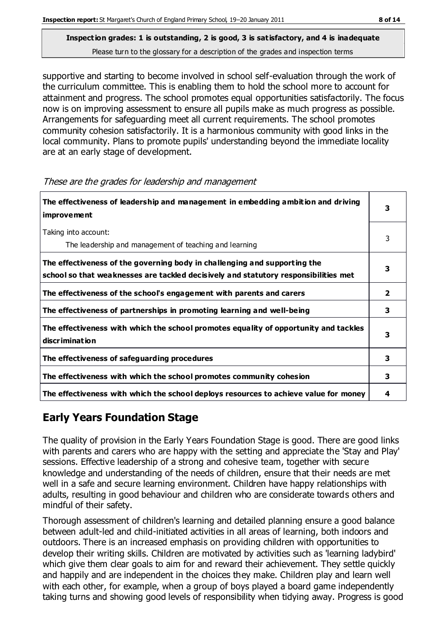supportive and starting to become involved in school self-evaluation through the work of the curriculum committee. This is enabling them to hold the school more to account for attainment and progress. The school promotes equal opportunities satisfactorily. The focus now is on improving assessment to ensure all pupils make as much progress as possible. Arrangements for safeguarding meet all current requirements. The school promotes community cohesion satisfactorily. It is a harmonious community with good links in the local community. Plans to promote pupils' understanding beyond the immediate locality are at an early stage of development.

| The effectiveness of leadership and management in embedding ambition and driving<br>improvement                                                                  |              |
|------------------------------------------------------------------------------------------------------------------------------------------------------------------|--------------|
| Taking into account:<br>The leadership and management of teaching and learning                                                                                   | 3            |
| The effectiveness of the governing body in challenging and supporting the<br>school so that weaknesses are tackled decisively and statutory responsibilities met | З            |
| The effectiveness of the school's engagement with parents and carers                                                                                             | $\mathbf{2}$ |
| The effectiveness of partnerships in promoting learning and well-being                                                                                           | 3            |
| The effectiveness with which the school promotes equality of opportunity and tackles<br>discrimination                                                           | 3            |
| The effectiveness of safeguarding procedures                                                                                                                     | 3            |
| The effectiveness with which the school promotes community cohesion                                                                                              | 3            |
| The effectiveness with which the school deploys resources to achieve value for money                                                                             | 4            |

These are the grades for leadership and management

# **Early Years Foundation Stage**

The quality of provision in the Early Years Foundation Stage is good. There are good links with parents and carers who are happy with the setting and appreciate the 'Stay and Play' sessions. Effective leadership of a strong and cohesive team, together with secure knowledge and understanding of the needs of children, ensure that their needs are met well in a safe and secure learning environment. Children have happy relationships with adults, resulting in good behaviour and children who are considerate towards others and mindful of their safety.

Thorough assessment of children's learning and detailed planning ensure a good balance between adult-led and child-initiated activities in all areas of learning, both indoors and outdoors. There is an increased emphasis on providing children with opportunities to develop their writing skills. Children are motivated by activities such as 'learning ladybird' which give them clear goals to aim for and reward their achievement. They settle quickly and happily and are independent in the choices they make. Children play and learn well with each other, for example, when a group of boys played a board game independently taking turns and showing good levels of responsibility when tidying away. Progress is good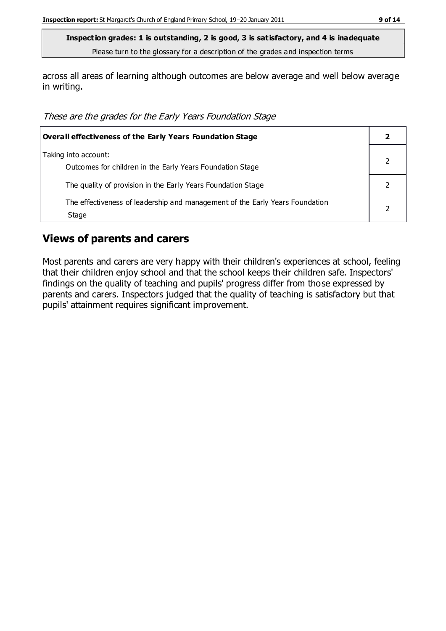across all areas of learning although outcomes are below average and well below average in writing.

These are the grades for the Early Years Foundation Stage

| <b>Overall effectiveness of the Early Years Foundation Stage</b>                      |  |
|---------------------------------------------------------------------------------------|--|
| Taking into account:<br>Outcomes for children in the Early Years Foundation Stage     |  |
| The quality of provision in the Early Years Foundation Stage                          |  |
| The effectiveness of leadership and management of the Early Years Foundation<br>Stage |  |

#### **Views of parents and carers**

Most parents and carers are very happy with their children's experiences at school, feeling that their children enjoy school and that the school keeps their children safe. Inspectors' findings on the quality of teaching and pupils' progress differ from those expressed by parents and carers. Inspectors judged that the quality of teaching is satisfactory but that pupils' attainment requires significant improvement.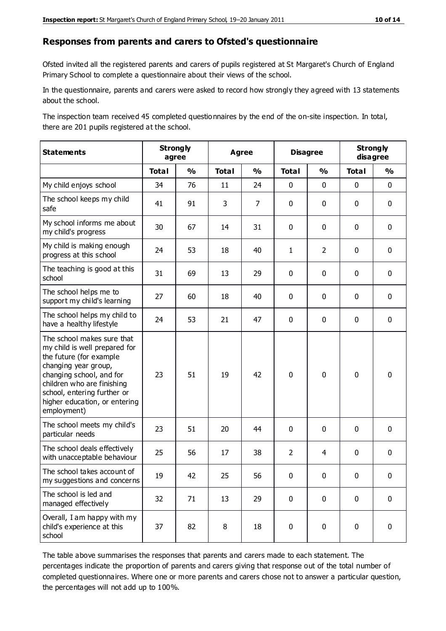#### **Responses from parents and carers to Ofsted's questionnaire**

Ofsted invited all the registered parents and carers of pupils registered at St Margaret's Church of England Primary School to complete a questionnaire about their views of the school.

In the questionnaire, parents and carers were asked to record how strongly they agreed with 13 statements about the school.

The inspection team received 45 completed questionnaires by the end of the on-site inspection. In total, there are 201 pupils registered at the school.

| <b>Statements</b>                                                                                                                                                                                                                                       | <b>Strongly</b><br>agree |               | <b>Agree</b> |                | <b>Disagree</b> |                | <b>Strongly</b><br>disagree |               |
|---------------------------------------------------------------------------------------------------------------------------------------------------------------------------------------------------------------------------------------------------------|--------------------------|---------------|--------------|----------------|-----------------|----------------|-----------------------------|---------------|
|                                                                                                                                                                                                                                                         | <b>Total</b>             | $\frac{1}{2}$ | <b>Total</b> | $\frac{1}{2}$  | <b>Total</b>    | $\frac{1}{2}$  | <b>Total</b>                | $\frac{1}{2}$ |
| My child enjoys school                                                                                                                                                                                                                                  | 34                       | 76            | 11           | 24             | 0               | $\mathbf 0$    | $\mathbf 0$                 | $\mathbf 0$   |
| The school keeps my child<br>safe                                                                                                                                                                                                                       | 41                       | 91            | 3            | $\overline{7}$ | 0               | $\mathbf 0$    | $\mathbf 0$                 | $\mathbf 0$   |
| My school informs me about<br>my child's progress                                                                                                                                                                                                       | 30                       | 67            | 14           | 31             | 0               | $\mathbf{0}$   | $\mathbf 0$                 | $\mathbf 0$   |
| My child is making enough<br>progress at this school                                                                                                                                                                                                    | 24                       | 53            | 18           | 40             | $\mathbf{1}$    | $\overline{2}$ | $\mathbf 0$                 | $\mathbf 0$   |
| The teaching is good at this<br>school                                                                                                                                                                                                                  | 31                       | 69            | 13           | 29             | 0               | $\mathbf 0$    | $\mathbf 0$                 | $\mathbf 0$   |
| The school helps me to<br>support my child's learning                                                                                                                                                                                                   | 27                       | 60            | 18           | 40             | 0               | $\mathbf{0}$   | $\mathbf 0$                 | $\mathbf 0$   |
| The school helps my child to<br>have a healthy lifestyle                                                                                                                                                                                                | 24                       | 53            | 21           | 47             | 0               | $\mathbf 0$    | $\mathbf 0$                 | $\mathbf 0$   |
| The school makes sure that<br>my child is well prepared for<br>the future (for example<br>changing year group,<br>changing school, and for<br>children who are finishing<br>school, entering further or<br>higher education, or entering<br>employment) | 23                       | 51            | 19           | 42             | $\mathbf 0$     | $\mathbf 0$    | $\mathbf 0$                 | $\mathbf 0$   |
| The school meets my child's<br>particular needs                                                                                                                                                                                                         | 23                       | 51            | 20           | 44             | $\pmb{0}$       | $\mathbf 0$    | $\mathbf 0$                 | $\mathbf 0$   |
| The school deals effectively<br>with unacceptable behaviour                                                                                                                                                                                             | 25                       | 56            | 17           | 38             | $\overline{2}$  | $\overline{4}$ | $\mathbf 0$                 | $\pmb{0}$     |
| The school takes account of<br>my suggestions and concerns                                                                                                                                                                                              | 19                       | 42            | 25           | 56             | 0               | $\Omega$       | $\Omega$                    | 0             |
| The school is led and<br>managed effectively                                                                                                                                                                                                            | 32                       | 71            | 13           | 29             | $\mathbf 0$     | $\mathbf 0$    | $\mathbf 0$                 | $\mathbf 0$   |
| Overall, I am happy with my<br>child's experience at this<br>school                                                                                                                                                                                     | 37                       | 82            | 8            | 18             | $\pmb{0}$       | $\mathbf 0$    | $\mathbf 0$                 | $\pmb{0}$     |

The table above summarises the responses that parents and carers made to each statement. The percentages indicate the proportion of parents and carers giving that response out of the total number of completed questionnaires. Where one or more parents and carers chose not to answer a particular question, the percentages will not add up to 100%.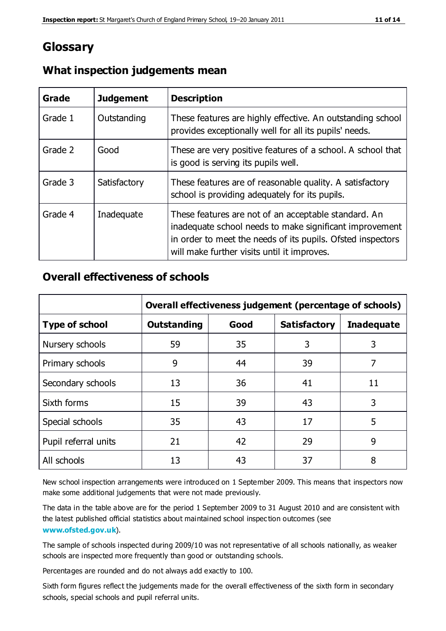# **Glossary**

| Grade   | <b>Judgement</b> | <b>Description</b>                                                                                                                                                                                                            |
|---------|------------------|-------------------------------------------------------------------------------------------------------------------------------------------------------------------------------------------------------------------------------|
| Grade 1 | Outstanding      | These features are highly effective. An outstanding school<br>provides exceptionally well for all its pupils' needs.                                                                                                          |
| Grade 2 | Good             | These are very positive features of a school. A school that<br>is good is serving its pupils well.                                                                                                                            |
| Grade 3 | Satisfactory     | These features are of reasonable quality. A satisfactory<br>school is providing adequately for its pupils.                                                                                                                    |
| Grade 4 | Inadequate       | These features are not of an acceptable standard. An<br>inadequate school needs to make significant improvement<br>in order to meet the needs of its pupils. Ofsted inspectors<br>will make further visits until it improves. |

#### **What inspection judgements mean**

#### **Overall effectiveness of schools**

|                       | Overall effectiveness judgement (percentage of schools) |      |                     |                   |
|-----------------------|---------------------------------------------------------|------|---------------------|-------------------|
| <b>Type of school</b> | <b>Outstanding</b>                                      | Good | <b>Satisfactory</b> | <b>Inadequate</b> |
| Nursery schools       | 59                                                      | 35   | 3                   | 3                 |
| Primary schools       | 9                                                       | 44   | 39                  | 7                 |
| Secondary schools     | 13                                                      | 36   | 41                  | 11                |
| Sixth forms           | 15                                                      | 39   | 43                  | 3                 |
| Special schools       | 35                                                      | 43   | 17                  | 5                 |
| Pupil referral units  | 21                                                      | 42   | 29                  | 9                 |
| All schools           | 13                                                      | 43   | 37                  | 8                 |

New school inspection arrangements were introduced on 1 September 2009. This means that inspectors now make some additional judgements that were not made previously.

The data in the table above are for the period 1 September 2009 to 31 August 2010 and are consistent with the latest published official statistics about maintained school inspec tion outcomes (see **[www.ofsted.gov.uk](http://www.ofsted.gov.uk/)**).

The sample of schools inspected during 2009/10 was not representative of all schools nationally, as weaker schools are inspected more frequently than good or outstanding schools.

Percentages are rounded and do not always add exactly to 100.

Sixth form figures reflect the judgements made for the overall effectiveness of the sixth form in secondary schools, special schools and pupil referral units.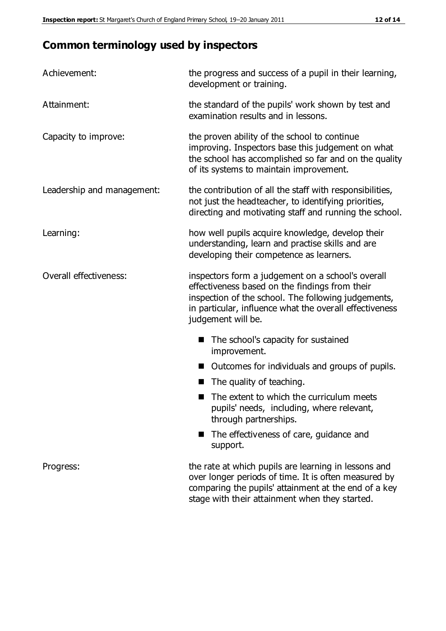# **Common terminology used by inspectors**

| Achievement:                  | the progress and success of a pupil in their learning,<br>development or training.                                                                                                                                                          |
|-------------------------------|---------------------------------------------------------------------------------------------------------------------------------------------------------------------------------------------------------------------------------------------|
| Attainment:                   | the standard of the pupils' work shown by test and<br>examination results and in lessons.                                                                                                                                                   |
| Capacity to improve:          | the proven ability of the school to continue<br>improving. Inspectors base this judgement on what<br>the school has accomplished so far and on the quality<br>of its systems to maintain improvement.                                       |
| Leadership and management:    | the contribution of all the staff with responsibilities,<br>not just the headteacher, to identifying priorities,<br>directing and motivating staff and running the school.                                                                  |
| Learning:                     | how well pupils acquire knowledge, develop their<br>understanding, learn and practise skills and are<br>developing their competence as learners.                                                                                            |
| <b>Overall effectiveness:</b> | inspectors form a judgement on a school's overall<br>effectiveness based on the findings from their<br>inspection of the school. The following judgements,<br>in particular, influence what the overall effectiveness<br>judgement will be. |
|                               | The school's capacity for sustained<br>improvement.                                                                                                                                                                                         |
|                               | Outcomes for individuals and groups of pupils.                                                                                                                                                                                              |
|                               | The quality of teaching.                                                                                                                                                                                                                    |
|                               | The extent to which the curriculum meets<br>pupils' needs, including, where relevant,<br>through partnerships.                                                                                                                              |
|                               | The effectiveness of care, guidance and<br>support.                                                                                                                                                                                         |
| Progress:                     | the rate at which pupils are learning in lessons and<br>over longer periods of time. It is often measured by<br>comparing the pupils' attainment at the end of a key                                                                        |

stage with their attainment when they started.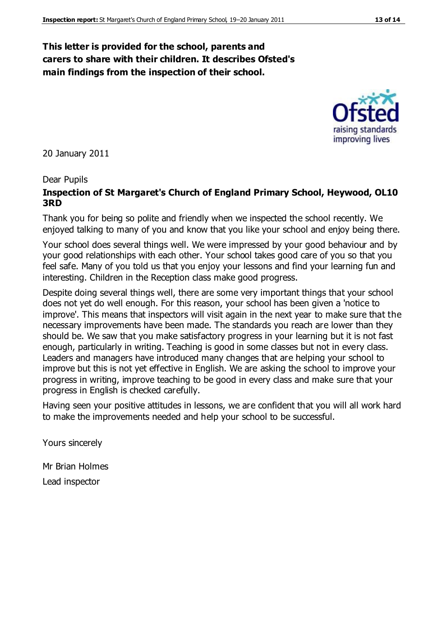#### **This letter is provided for the school, parents and carers to share with their children. It describes Ofsted's main findings from the inspection of their school.**

20 January 2011

#### Dear Pupils

#### **Inspection of St Margaret's Church of England Primary School, Heywood, OL10 3RD**

Thank you for being so polite and friendly when we inspected the school recently. We enjoyed talking to many of you and know that you like your school and enjoy being there.

Your school does several things well. We were impressed by your good behaviour and by your good relationships with each other. Your school takes good care of you so that you feel safe. Many of you told us that you enjoy your lessons and find your learning fun and interesting. Children in the Reception class make good progress.

Despite doing several things well, there are some very important things that your school does not yet do well enough. For this reason, your school has been given a 'notice to improve'. This means that inspectors will visit again in the next year to make sure that the necessary improvements have been made. The standards you reach are lower than they should be. We saw that you make satisfactory progress in your learning but it is not fast enough, particularly in writing. Teaching is good in some classes but not in every class. Leaders and managers have introduced many changes that are helping your school to improve but this is not yet effective in English. We are asking the school to improve your progress in writing, improve teaching to be good in every class and make sure that your progress in English is checked carefully.

Having seen your positive attitudes in lessons, we are confident that you will all work hard to make the improvements needed and help your school to be successful.

Yours sincerely

Mr Brian Holmes Lead inspector